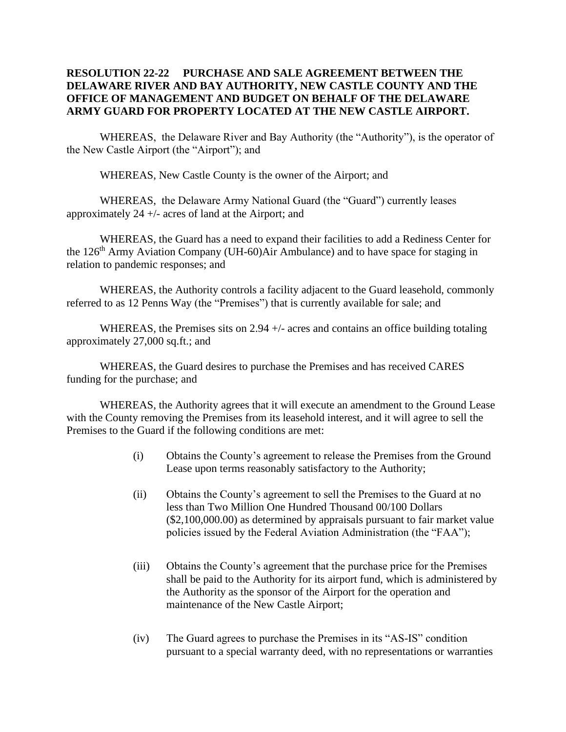## **RESOLUTION 22-22 PURCHASE AND SALE AGREEMENT BETWEEN THE DELAWARE RIVER AND BAY AUTHORITY, NEW CASTLE COUNTY AND THE OFFICE OF MANAGEMENT AND BUDGET ON BEHALF OF THE DELAWARE ARMY GUARD FOR PROPERTY LOCATED AT THE NEW CASTLE AIRPORT.**

WHEREAS, the Delaware River and Bay Authority (the "Authority"), is the operator of the New Castle Airport (the "Airport"); and

WHEREAS, New Castle County is the owner of the Airport; and

WHEREAS, the Delaware Army National Guard (the "Guard") currently leases approximately 24 +/- acres of land at the Airport; and

WHEREAS, the Guard has a need to expand their facilities to add a Rediness Center for the 126<sup>th</sup> Army Aviation Company (UH-60)Air Ambulance) and to have space for staging in relation to pandemic responses; and

WHEREAS, the Authority controls a facility adjacent to the Guard leasehold, commonly referred to as 12 Penns Way (the "Premises") that is currently available for sale; and

WHEREAS, the Premises sits on 2.94  $+/-$  acres and contains an office building totaling approximately 27,000 sq.ft.; and

WHEREAS, the Guard desires to purchase the Premises and has received CARES funding for the purchase; and

WHEREAS, the Authority agrees that it will execute an amendment to the Ground Lease with the County removing the Premises from its leasehold interest, and it will agree to sell the Premises to the Guard if the following conditions are met:

- (i) Obtains the County's agreement to release the Premises from the Ground Lease upon terms reasonably satisfactory to the Authority;
- (ii) Obtains the County's agreement to sell the Premises to the Guard at no less than Two Million One Hundred Thousand 00/100 Dollars (\$2,100,000.00) as determined by appraisals pursuant to fair market value policies issued by the Federal Aviation Administration (the "FAA");
- (iii) Obtains the County's agreement that the purchase price for the Premises shall be paid to the Authority for its airport fund, which is administered by the Authority as the sponsor of the Airport for the operation and maintenance of the New Castle Airport;
- (iv) The Guard agrees to purchase the Premises in its "AS-IS" condition pursuant to a special warranty deed, with no representations or warranties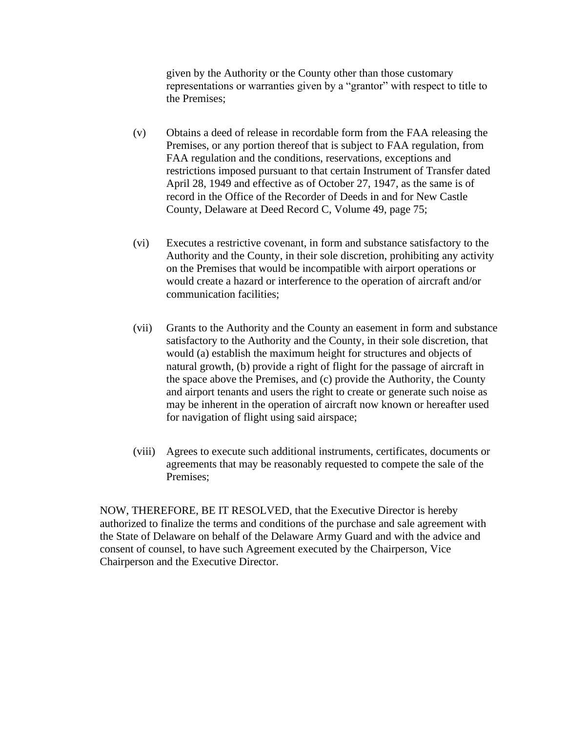given by the Authority or the County other than those customary representations or warranties given by a "grantor" with respect to title to the Premises;

- (v) Obtains a deed of release in recordable form from the FAA releasing the Premises, or any portion thereof that is subject to FAA regulation, from FAA regulation and the conditions, reservations, exceptions and restrictions imposed pursuant to that certain Instrument of Transfer dated April 28, 1949 and effective as of October 27, 1947, as the same is of record in the Office of the Recorder of Deeds in and for New Castle County, Delaware at Deed Record C, Volume 49, page 75;
- (vi) Executes a restrictive covenant, in form and substance satisfactory to the Authority and the County, in their sole discretion, prohibiting any activity on the Premises that would be incompatible with airport operations or would create a hazard or interference to the operation of aircraft and/or communication facilities;
- (vii) Grants to the Authority and the County an easement in form and substance satisfactory to the Authority and the County, in their sole discretion, that would (a) establish the maximum height for structures and objects of natural growth, (b) provide a right of flight for the passage of aircraft in the space above the Premises, and (c) provide the Authority, the County and airport tenants and users the right to create or generate such noise as may be inherent in the operation of aircraft now known or hereafter used for navigation of flight using said airspace;
- (viii) Agrees to execute such additional instruments, certificates, documents or agreements that may be reasonably requested to compete the sale of the Premises;

NOW, THEREFORE, BE IT RESOLVED, that the Executive Director is hereby authorized to finalize the terms and conditions of the purchase and sale agreement with the State of Delaware on behalf of the Delaware Army Guard and with the advice and consent of counsel, to have such Agreement executed by the Chairperson, Vice Chairperson and the Executive Director.